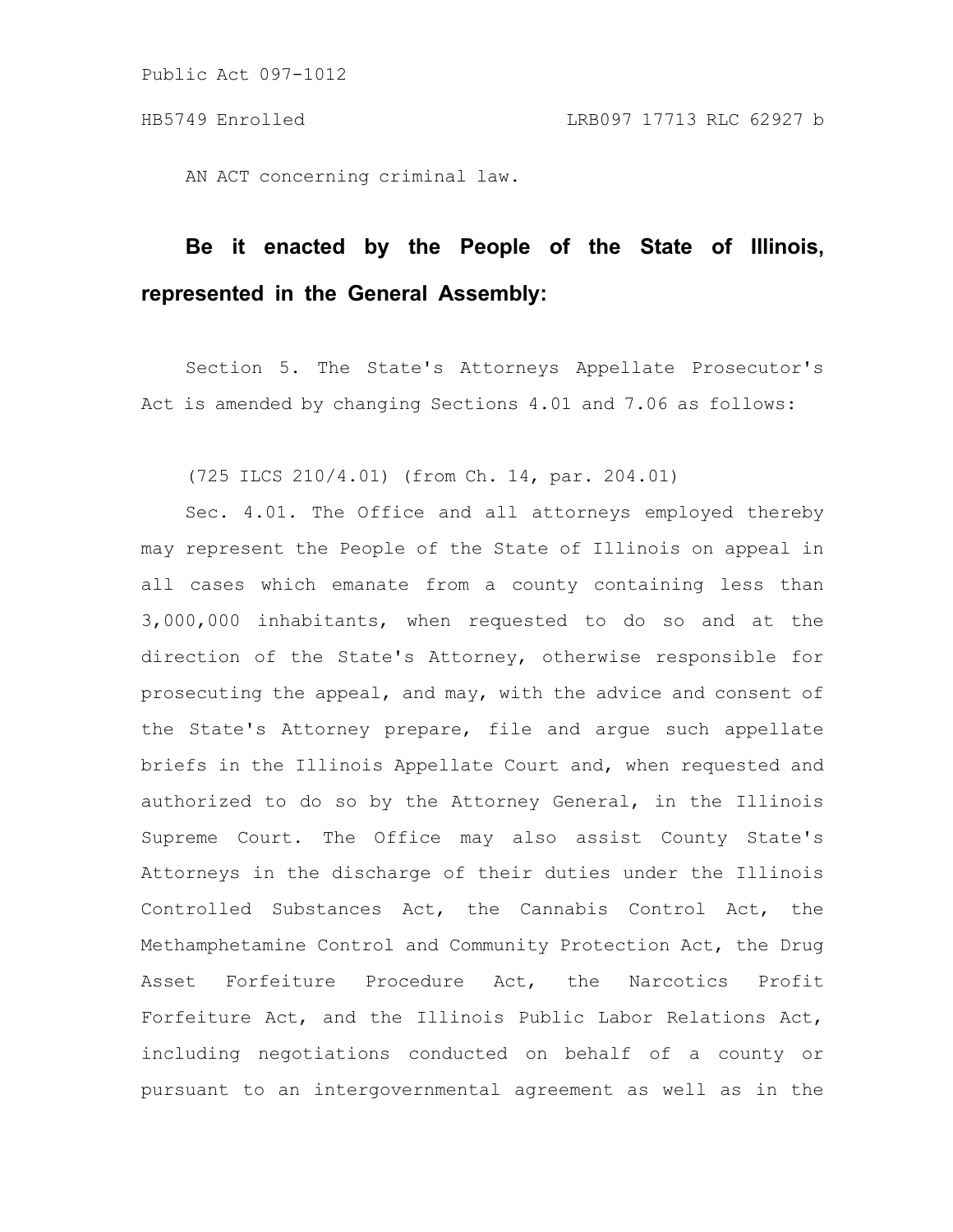AN ACT concerning criminal law.

## **Be it enacted by the People of the State of Illinois, represented in the General Assembly:**

Section 5. The State's Attorneys Appellate Prosecutor's Act is amended by changing Sections 4.01 and 7.06 as follows:

(725 ILCS 210/4.01) (from Ch. 14, par. 204.01)

Sec. 4.01. The Office and all attorneys employed thereby may represent the People of the State of Illinois on appeal in all cases which emanate from a county containing less than 3,000,000 inhabitants, when requested to do so and at the direction of the State's Attorney, otherwise responsible for prosecuting the appeal, and may, with the advice and consent of the State's Attorney prepare, file and argue such appellate briefs in the Illinois Appellate Court and, when requested and authorized to do so by the Attorney General, in the Illinois Supreme Court. The Office may also assist County State's Attorneys in the discharge of their duties under the Illinois Controlled Substances Act, the Cannabis Control Act, the Methamphetamine Control and Community Protection Act, the Drug Asset Forfeiture Procedure Act, the Narcotics Profit Forfeiture Act, and the Illinois Public Labor Relations Act, including negotiations conducted on behalf of a county or pursuant to an intergovernmental agreement as well as in the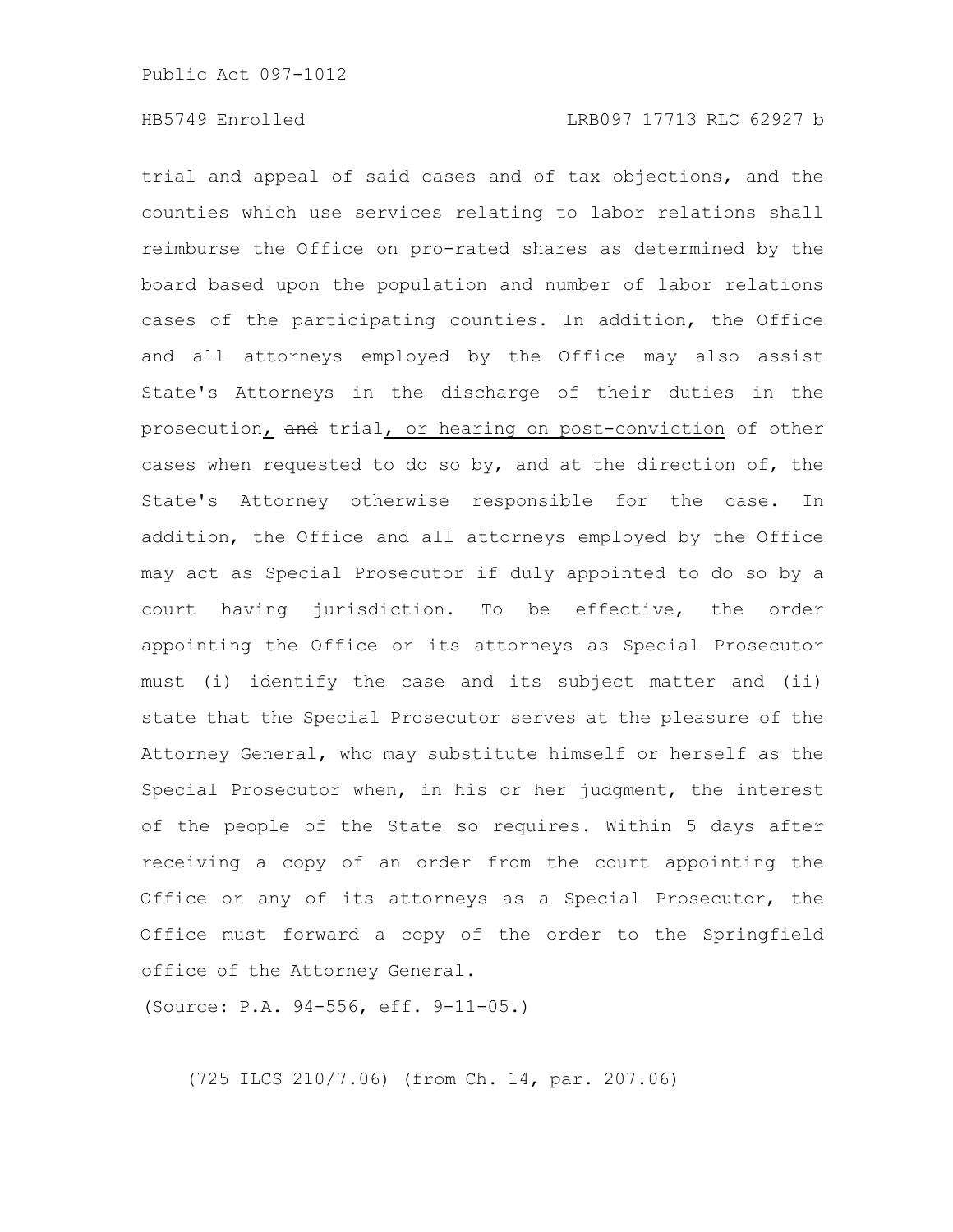trial and appeal of said cases and of tax objections, and the counties which use services relating to labor relations shall reimburse the Office on pro-rated shares as determined by the board based upon the population and number of labor relations cases of the participating counties. In addition, the Office and all attorneys employed by the Office may also assist State's Attorneys in the discharge of their duties in the prosecution, and trial, or hearing on post-conviction of other cases when requested to do so by, and at the direction of, the State's Attorney otherwise responsible for the case. In addition, the Office and all attorneys employed by the Office may act as Special Prosecutor if duly appointed to do so by a court having jurisdiction. To be effective, the order appointing the Office or its attorneys as Special Prosecutor must (i) identify the case and its subject matter and (ii) state that the Special Prosecutor serves at the pleasure of the Attorney General, who may substitute himself or herself as the Special Prosecutor when, in his or her judgment, the interest of the people of the State so requires. Within 5 days after receiving a copy of an order from the court appointing the Office or any of its attorneys as a Special Prosecutor, the Office must forward a copy of the order to the Springfield office of the Attorney General.

(Source: P.A. 94-556, eff. 9-11-05.)

(725 ILCS 210/7.06) (from Ch. 14, par. 207.06)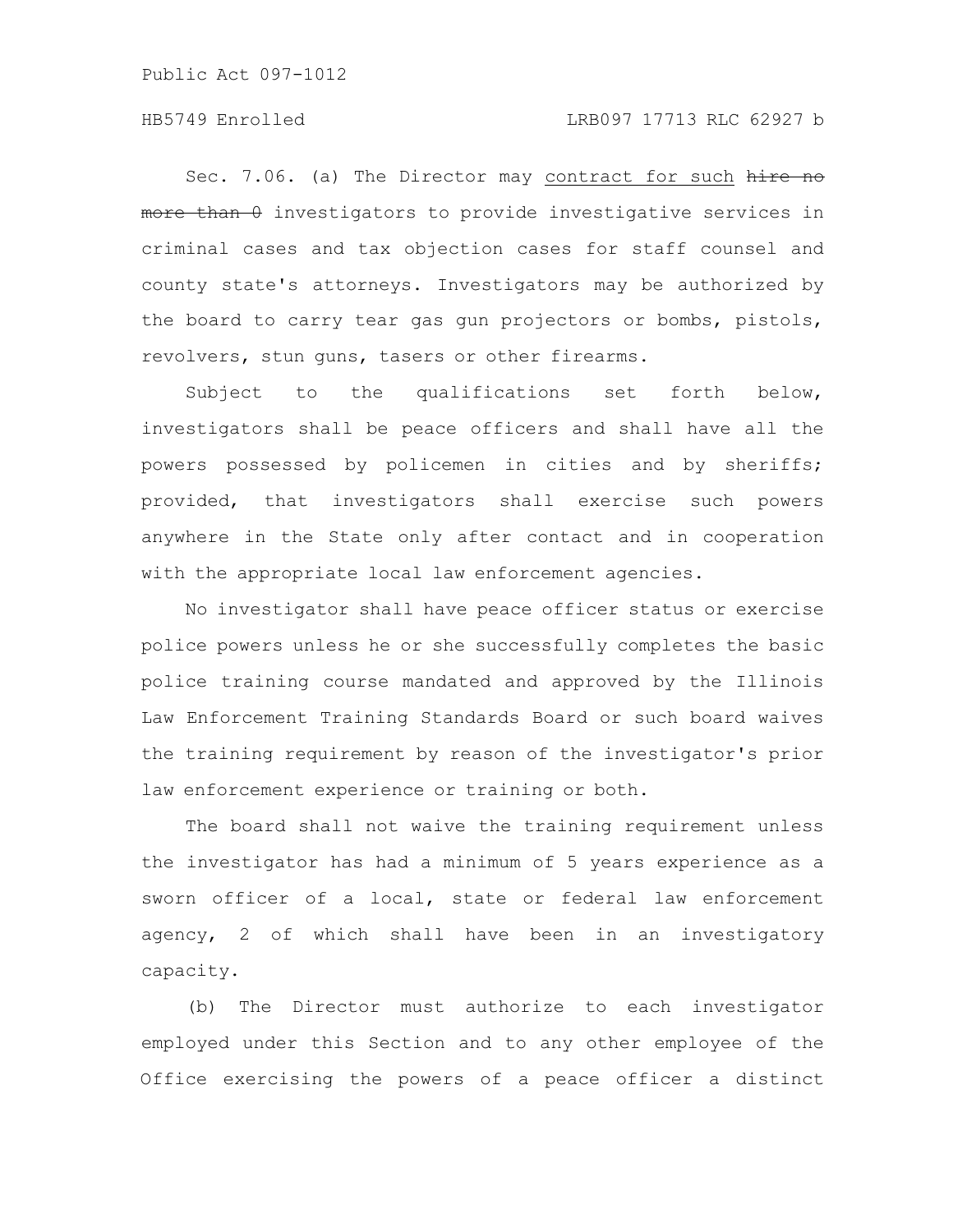Public Act 097-1012

Sec. 7.06. (a) The Director may contract for such hire no more than 0 investigators to provide investigative services in criminal cases and tax objection cases for staff counsel and county state's attorneys. Investigators may be authorized by the board to carry tear gas gun projectors or bombs, pistols, revolvers, stun guns, tasers or other firearms.

Subject to the qualifications set forth below, investigators shall be peace officers and shall have all the powers possessed by policemen in cities and by sheriffs; provided, that investigators shall exercise such powers anywhere in the State only after contact and in cooperation with the appropriate local law enforcement agencies.

No investigator shall have peace officer status or exercise police powers unless he or she successfully completes the basic police training course mandated and approved by the Illinois Law Enforcement Training Standards Board or such board waives the training requirement by reason of the investigator's prior law enforcement experience or training or both.

The board shall not waive the training requirement unless the investigator has had a minimum of 5 years experience as a sworn officer of a local, state or federal law enforcement agency, 2 of which shall have been in an investigatory capacity.

(b) The Director must authorize to each investigator employed under this Section and to any other employee of the Office exercising the powers of a peace officer a distinct